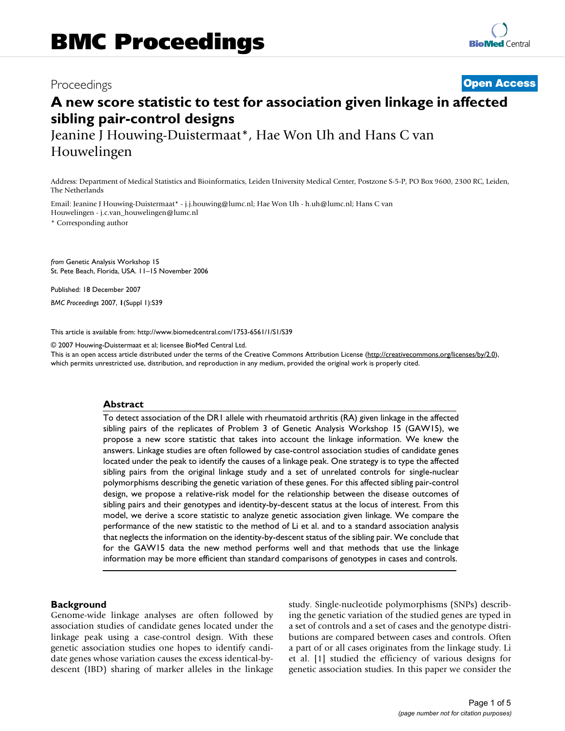## Proceedings **[Open Access](http://www.biomedcentral.com/info/about/charter/)**

# **A new score statistic to test for association given linkage in affected sibling pair-control designs**

Jeanine J Houwing-Duistermaat\*, Hae Won Uh and Hans C van Houwelingen

Address: Department of Medical Statistics and Bioinformatics, Leiden University Medical Center, Postzone S-5-P, PO Box 9600, 2300 RC, Leiden, The Netherlands

Email: Jeanine J Houwing-Duistermaat\* - j.j.houwing@lumc.nl; Hae Won Uh - h.uh@lumc.nl; Hans C van Houwelingen - j.c.van\_houwelingen@lumc.nl

\* Corresponding author

*from* Genetic Analysis Workshop 15 St. Pete Beach, Florida, USA. 11–15 November 2006

Published: 18 December 2007

*BMC Proceedings* 2007, **1**(Suppl 1):S39

[This article is available from: http://www.biomedcentral.com/1753-6561/1/S1/S39](http://www.biomedcentral.com/1753-6561/1/S1/S39)

© 2007 Houwing-Duistermaat et al; licensee BioMed Central Ltd.

This is an open access article distributed under the terms of the Creative Commons Attribution License [\(http://creativecommons.org/licenses/by/2.0\)](http://creativecommons.org/licenses/by/2.0), which permits unrestricted use, distribution, and reproduction in any medium, provided the original work is properly cited.

#### **Abstract**

To detect association of the DR1 allele with rheumatoid arthritis (RA) given linkage in the affected sibling pairs of the replicates of Problem 3 of Genetic Analysis Workshop 15 (GAW15), we propose a new score statistic that takes into account the linkage information. We knew the answers. Linkage studies are often followed by case-control association studies of candidate genes located under the peak to identify the causes of a linkage peak. One strategy is to type the affected sibling pairs from the original linkage study and a set of unrelated controls for single-nuclear polymorphisms describing the genetic variation of these genes. For this affected sibling pair-control design, we propose a relative-risk model for the relationship between the disease outcomes of sibling pairs and their genotypes and identity-by-descent status at the locus of interest. From this model, we derive a score statistic to analyze genetic association given linkage. We compare the performance of the new statistic to the method of Li et al. and to a standard association analysis that neglects the information on the identity-by-descent status of the sibling pair. We conclude that for the GAW15 data the new method performs well and that methods that use the linkage information may be more efficient than standard comparisons of genotypes in cases and controls.

#### **Background**

Genome-wide linkage analyses are often followed by association studies of candidate genes located under the linkage peak using a case-control design. With these genetic association studies one hopes to identify candidate genes whose variation causes the excess identical-bydescent (IBD) sharing of marker alleles in the linkage study. Single-nucleotide polymorphisms (SNPs) describing the genetic variation of the studied genes are typed in a set of controls and a set of cases and the genotype distributions are compared between cases and controls. Often a part of or all cases originates from the linkage study. Li et al. [1] studied the efficiency of various designs for genetic association studies. In this paper we consider the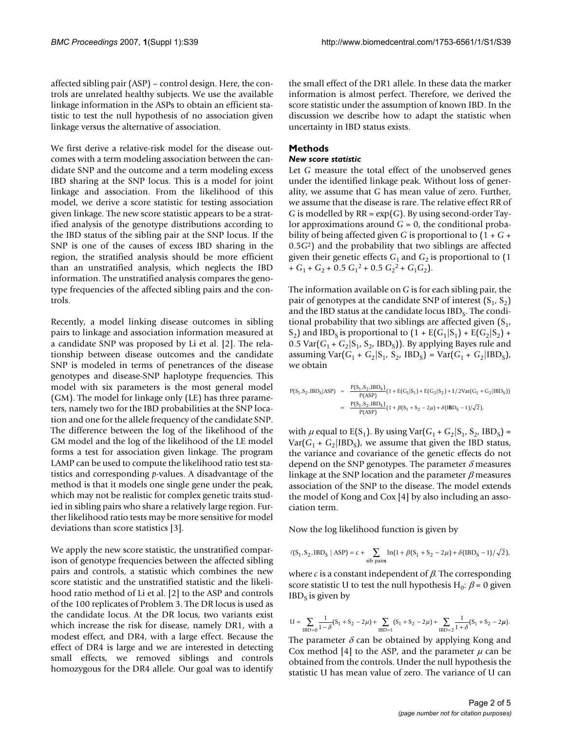affected sibling pair (ASP) – control design. Here, the controls are unrelated healthy subjects. We use the available linkage information in the ASPs to obtain an efficient statistic to test the null hypothesis of no association given linkage versus the alternative of association.

We first derive a relative-risk model for the disease outcomes with a term modeling association between the candidate SNP and the outcome and a term modeling excess IBD sharing at the SNP locus. This is a model for joint linkage and association. From the likelihood of this model, we derive a score statistic for testing association given linkage. The new score statistic appears to be a stratified analysis of the genotype distributions according to the IBD status of the sibling pair at the SNP locus. If the SNP is one of the causes of excess IBD sharing in the region, the stratified analysis should be more efficient than an unstratified analysis, which neglects the IBD information. The unstratified analysis compares the genotype frequencies of the affected sibling pairs and the controls.

Recently, a model linking disease outcomes in sibling pairs to linkage and association information measured at a candidate SNP was proposed by Li et al. [2]. The relationship between disease outcomes and the candidate SNP is modeled in terms of penetrances of the disease genotypes and disease-SNP haplotype frequencies. This model with six parameters is the most general model (GM). The model for linkage only (LE) has three parameters, namely two for the IBD probabilities at the SNP location and one for the allele frequency of the candidate SNP. The difference between the log of the likelihood of the GM model and the log of the likelihood of the LE model forms a test for association given linkage. The program LAMP can be used to compute the likelihood ratio test statistics and corresponding *p*-values. A disadvantage of the method is that it models one single gene under the peak, which may not be realistic for complex genetic traits studied in sibling pairs who share a relatively large region. Further likelihood ratio tests may be more sensitive for model deviations than score statistics [3].

We apply the new score statistic, the unstratified comparison of genotype frequencies between the affected sibling pairs and controls, a statistic which combines the new score statistic and the unstratified statistic and the likelihood ratio method of Li et al. [2] to the ASP and controls of the 100 replicates of Problem 3. The DR locus is used as the candidate locus. At the DR locus, two variants exist which increase the risk for disease, namely DR1, with a modest effect, and DR4, with a large effect. Because the effect of DR4 is large and we are interested in detecting small effects, we removed siblings and controls homozygous for the DR4 allele. Our goal was to identify

the small effect of the DR1 allele. In these data the marker information is almost perfect. Therefore, we derived the score statistic under the assumption of known IBD. In the discussion we describe how to adapt the statistic when uncertainty in IBD status exists.

#### **Methods**

#### *New score statistic*

Let *G* measure the total effect of the unobserved genes under the identified linkage peak. Without loss of generality, we assume that *G* has mean value of zero. Further, we assume that the disease is rare. The relative effect RR of *G* is modelled by RR = exp(*G*). By using second-order Taylor approximations around  $G = 0$ , the conditional probability of being affected given *G* is proportional to (1 + *G* + 0.5*G*2) and the probability that two siblings are affected given their genetic effects  $G_1$  and  $G_2$  is proportional to (1)  $+ G_1 + G_2 + 0.5 G_1^2 + 0.5 G_2^2 + G_1 G_2$ .

The information available on *G* is for each sibling pair, the pair of genotypes at the candidate SNP of interest  $(S_1, S_2)$ and the IBD status at the candidate locus  $IBD<sub>S</sub>$ . The conditional probability that two siblings are affected given  $(S_1, S_2)$  $(S_2)$  and IBD<sub>S</sub> is proportional to  $(1 + E(G_1|S_1) + E(G_2|S_2) + E(G_3|S_3))$ 0.5 Var( $G_1 + G_2$ |S<sub>1</sub>, S<sub>2</sub>, IBD<sub>S</sub>)). By applying Bayes rule and assuming  $Var(G_1 + G_2 | S_1, S_2, IBD_S) = Var(G_1 + G_2 | IBD_S)$ , we obtain

$$
P(S_1, S_2, IBD_S|ASP) \approx \frac{P(S_1, S_2, IBD_S)}{P(ASP)} (1 + E(G_1|S_1) + E(G_2|S_2) + 1/2Var(G_1 + G_2|IBD_S))
$$
  

$$
\approx \frac{P(S_1, S_2, IBD_S)}{P(ASP)} (1 + \beta(S_1 + S_2 - 2\mu) + \delta(IBD_S - 1)/\sqrt{2}),
$$

with  $\mu$  equal to E(S<sub>1</sub>). By using Var( $G_1 + G_2$ |S<sub>1</sub>, S<sub>2</sub>, IBD<sub>S</sub>) =  $Var(G_1 + G_2|IBD_S)$ , we assume that given the IBD status, the variance and covariance of the genetic effects do not depend on the SNP genotypes. The parameter  $\delta$  measures linkage at the SNP location and the parameter  $\beta$  measures association of the SNP to the disease. The model extends the model of Kong and Cox [4] by also including an association term.

Now the log likelihood function is given by

$$
\ell(S_1, S_2, IBD_S \mid ASP) = c + \sum_{\text{sib pairs}} \ln(1 + \beta(S_1 + S_2 - 2\mu) + \delta(IBD_S - 1) / \sqrt{2}),
$$

where  $c$  is a constant independent of  $\beta$ . The corresponding score statistic U to test the null hypothesis H<sub>0</sub>:  $\beta$  = 0 given  $IBD<sub>S</sub>$  is given by

$$
U = \sum_{IBD=0} \frac{1}{1-\delta} (S_1 + S_2 - 2\mu) + \sum_{IBD=1} (S_1 + S_2 - 2\mu) + \sum_{IBD=2} \frac{1}{1+\delta} (S_1 + S_2 - 2\mu).
$$

The parameter  $\delta$  can be obtained by applying Kong and Cox method [4] to the ASP, and the parameter  $\mu$  can be obtained from the controls. Under the null hypothesis the statistic U has mean value of zero. The variance of U can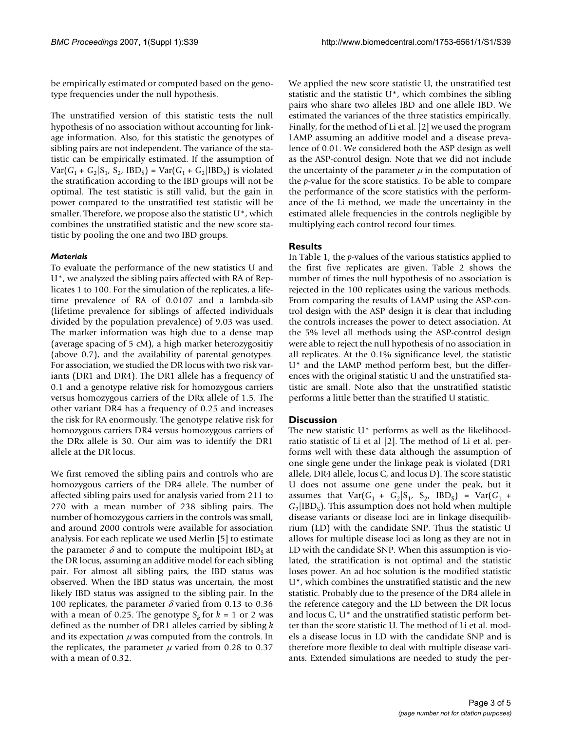be empirically estimated or computed based on the genotype frequencies under the null hypothesis.

The unstratified version of this statistic tests the null hypothesis of no association without accounting for linkage information. Also, for this statistic the genotypes of sibling pairs are not independent. The variance of the statistic can be empirically estimated. If the assumption of  $Var(G_1 + G_2 | S_1, S_2, IBD_S) = Var(G_1 + G_2 | IBD_S)$  is violated the stratification according to the IBD groups will not be optimal. The test statistic is still valid, but the gain in power compared to the unstratified test statistic will be smaller. Therefore, we propose also the statistic U\*, which combines the unstratified statistic and the new score statistic by pooling the one and two IBD groups.

#### *Materials*

To evaluate the performance of the new statistics U and U\*, we analyzed the sibling pairs affected with RA of Replicates 1 to 100. For the simulation of the replicates, a lifetime prevalence of RA of 0.0107 and a lambda-sib (lifetime prevalence for siblings of affected individuals divided by the population prevalence) of 9.03 was used. The marker information was high due to a dense map (average spacing of 5 cM), a high marker heterozygositiy (above 0.7), and the availability of parental genotypes. For association, we studied the DR locus with two risk variants (DR1 and DR4). The DR1 allele has a frequency of 0.1 and a genotype relative risk for homozygous carriers versus homozygous carriers of the DRx allele of 1.5. The other variant DR4 has a frequency of 0.25 and increases the risk for RA enormously. The genotype relative risk for homozygous carriers DR4 versus homozygous carriers of the DRx allele is 30. Our aim was to identify the DR1 allele at the DR locus.

We first removed the sibling pairs and controls who are homozygous carriers of the DR4 allele. The number of affected sibling pairs used for analysis varied from 211 to 270 with a mean number of 238 sibling pairs. The number of homozygous carriers in the controls was small, and around 2000 controls were available for association analysis. For each replicate we used Merlin [5] to estimate the parameter  $\delta$  and to compute the multipoint IBD<sub>s</sub> at the DR locus, assuming an additive model for each sibling pair. For almost all sibling pairs, the IBD status was observed. When the IBD status was uncertain, the most likely IBD status was assigned to the sibling pair. In the 100 replicates, the parameter  $\delta$  varied from 0.13 to 0.36 with a mean of 0.25. The genotype  $S_k$  for  $k = 1$  or 2 was defined as the number of DR1 alleles carried by sibling *k* and its expectation  $\mu$  was computed from the controls. In the replicates, the parameter  $\mu$  varied from 0.28 to 0.37 with a mean of 0.32.

We applied the new score statistic U, the unstratified test statistic and the statistic U\*, which combines the sibling pairs who share two alleles IBD and one allele IBD. We estimated the variances of the three statistics empirically. Finally, for the method of Li et al. [2] we used the program LAMP assuming an additive model and a disease prevalence of 0.01. We considered both the ASP design as well as the ASP-control design. Note that we did not include the uncertainty of the parameter  $\mu$  in the computation of the *p*-value for the score statistics. To be able to compare the performance of the score statistics with the performance of the Li method, we made the uncertainty in the estimated allele frequencies in the controls negligible by multiplying each control record four times.

### **Results**

In Table 1, the *p*-values of the various statistics applied to the first five replicates are given. Table 2 shows the number of times the null hypothesis of no association is rejected in the 100 replicates using the various methods. From comparing the results of LAMP using the ASP-control design with the ASP design it is clear that including the controls increases the power to detect association. At the 5% level all methods using the ASP-control design were able to reject the null hypothesis of no association in all replicates. At the 0.1% significance level, the statistic U\* and the LAMP method perform best, but the differences with the original statistic U and the unstratified statistic are small. Note also that the unstratified statistic performs a little better than the stratified U statistic.

#### **Discussion**

The new statistic U\* performs as well as the likelihoodratio statistic of Li et al [2]. The method of Li et al. performs well with these data although the assumption of one single gene under the linkage peak is violated (DR1 allele, DR4 allele, locus C, and locus D). The score statistic U does not assume one gene under the peak, but it assumes that  $Var(G_1 + G_2 | S_1, S_2, IBD_S) = Var(G_1 + G_2)$  $G_2$ [IBD<sub>S</sub>]. This assumption does not hold when multiple disease variants or disease loci are in linkage disequilibrium (LD) with the candidate SNP. Thus the statistic U allows for multiple disease loci as long as they are not in LD with the candidate SNP. When this assumption is violated, the stratification is not optimal and the statistic loses power. An ad hoc solution is the modified statistic U\*, which combines the unstratified statistic and the new statistic. Probably due to the presence of the DR4 allele in the reference category and the LD between the DR locus and locus C, U\* and the unstratified statistic perform better than the score statistic U. The method of Li et al. models a disease locus in LD with the candidate SNP and is therefore more flexible to deal with multiple disease variants. Extended simulations are needed to study the per-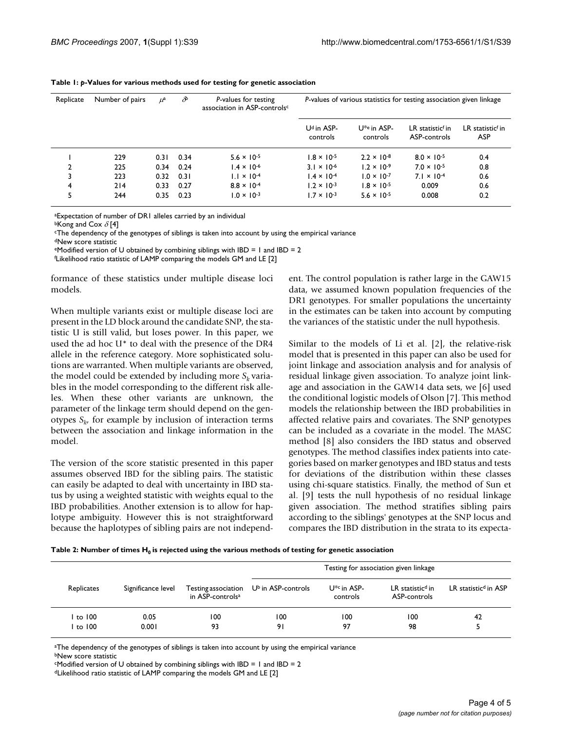| Replicate     | Number of pairs | $\mu^a$ | $\partial^{\!b}$ | P-values for testing<br>association in ASP-controlsc | P-values of various statistics for testing association given linkage |                                     |                                              |                                            |
|---------------|-----------------|---------|------------------|------------------------------------------------------|----------------------------------------------------------------------|-------------------------------------|----------------------------------------------|--------------------------------------------|
|               |                 |         |                  |                                                      | U <sup>d</sup> in ASP-<br>controls                                   | U <sup>*e</sup> in ASP-<br>controls | LR statistic <sup>f</sup> in<br>ASP-controls | LR statistic <sup>f</sup> in<br><b>ASP</b> |
|               | 229             | 0.31    | 0.34             | $5.6 \times 10^{-5}$                                 | $1.8 \times 10^{-5}$                                                 | $2.2 \times 10^{-8}$                | $8.0 \times 10^{-5}$                         | 0.4                                        |
| $\mathfrak z$ | 225             | 0.34    | 0.24             | $1.4 \times 10^{-6}$                                 | $3.1 \times 10^{-6}$                                                 | $1.2 \times 10^{-9}$                | $7.0 \times 10^{-5}$                         | 0.8                                        |
| 3             | 223             |         | $0.32$ $0.31$    | $1.1 \times 10^{-4}$                                 | $1.4 \times 10^{-4}$                                                 | $1.0 \times 10^{-7}$                | $7.1 \times 10^{-4}$                         | 0.6                                        |
| 4             | 214             | 0.33    | 0.27             | $8.8 \times 10^{-4}$                                 | $1.2 \times 10^{-3}$                                                 | $1.8 \times 10^{-5}$                | 0.009                                        | 0.6                                        |
| 5             | 244             | 0.35    | 0.23             | $1.0 \times 10^{-3}$                                 | $1.7 \times 10^{-3}$                                                 | $5.6 \times 10^{-5}$                | 0.008                                        | 0.2                                        |

| Table 1: $p$ -Values for various methods used for testing for genetic association |  |
|-----------------------------------------------------------------------------------|--|
|-----------------------------------------------------------------------------------|--|

aExpectation of number of DR1 alleles carried by an individual

bKong and Cox  $\delta$  [4]

cThe dependency of the genotypes of siblings is taken into account by using the empirical variance

dNew score statistic

 $e$ Modified version of U obtained by combining siblings with IBD = 1 and IBD = 2

f Likelihood ratio statistic of LAMP comparing the models GM and LE [2]

formance of these statistics under multiple disease loci models.

When multiple variants exist or multiple disease loci are present in the LD block around the candidate SNP, the statistic U is still valid, but loses power. In this paper, we used the ad hoc U\* to deal with the presence of the DR4 allele in the reference category. More sophisticated solutions are warranted. When multiple variants are observed, the model could be extended by including more  $S_k$  variables in the model corresponding to the different risk alleles. When these other variants are unknown, the parameter of the linkage term should depend on the genotypes  $S_{k}$  for example by inclusion of interaction terms between the association and linkage information in the model.

The version of the score statistic presented in this paper assumes observed IBD for the sibling pairs. The statistic can easily be adapted to deal with uncertainty in IBD status by using a weighted statistic with weights equal to the IBD probabilities. Another extension is to allow for haplotype ambiguity. However this is not straightforward because the haplotypes of sibling pairs are not independent. The control population is rather large in the GAW15 data, we assumed known population frequencies of the DR1 genotypes. For smaller populations the uncertainty in the estimates can be taken into account by computing the variances of the statistic under the null hypothesis.

Similar to the models of Li et al. [2], the relative-risk model that is presented in this paper can also be used for joint linkage and association analysis and for analysis of residual linkage given association. To analyze joint linkage and association in the GAW14 data sets, we [6] used the conditional logistic models of Olson [7]. This method models the relationship between the IBD probabilities in affected relative pairs and covariates. The SNP genotypes can be included as a covariate in the model. The MASC method [8] also considers the IBD status and observed genotypes. The method classifies index patients into categories based on marker genotypes and IBD status and tests for deviations of the distribution within these classes using chi-square statistics. Finally, the method of Sun et al. [9] tests the null hypothesis of no residual linkage given association. The method stratifies sibling pairs according to the siblings' genotypes at the SNP locus and compares the IBD distribution in the strata to its expecta-

Table 2: Number of times H<sub>0</sub> is rejected using the various methods of testing for genetic association

| Replicates |                    | in ASP-controls <sup>a</sup> | Testing for association given linkage                   |                              |                                              |                                  |  |
|------------|--------------------|------------------------------|---------------------------------------------------------|------------------------------|----------------------------------------------|----------------------------------|--|
|            | Significance level |                              | Testing association $\cup^{\mathsf{b}}$ in ASP-controls | $U^{*c}$ in ASP-<br>controls | LR statistic <sup>d</sup> in<br>ASP-controls | LR statistic <sup>d</sup> in ASP |  |
| to 100     | 0.05               | 100                          | 100                                                     | 100                          | 100                                          | 42                               |  |
| to 100     | 0.001              | 93                           | 91                                                      | 97                           | 98                                           |                                  |  |

<sup>a</sup>The dependency of the genotypes of siblings is taken into account by using the empirical variance bNew score statistic

 $c$ Modified version of U obtained by combining siblings with IBD = 1 and IBD = 2

dLikelihood ratio statistic of LAMP comparing the models GM and LE [2]